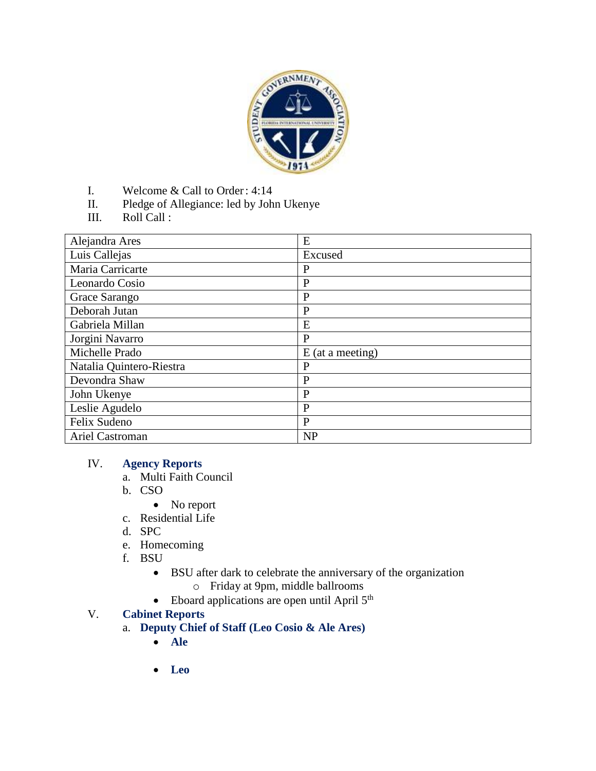

- I. Welcome & Call to Order: 4:14
- II. Pledge of Allegiance: led by John Ukenye
- III. Roll Call :

| Alejandra Ares           | E                  |
|--------------------------|--------------------|
| Luis Callejas            | Excused            |
| Maria Carricarte         | $\mathbf{P}$       |
| Leonardo Cosio           | P                  |
| Grace Sarango            | P                  |
| Deborah Jutan            | $\mathbf{P}$       |
| Gabriela Millan          | E                  |
| Jorgini Navarro          | $\mathbf{P}$       |
| Michelle Prado           | $E$ (at a meeting) |
| Natalia Quintero-Riestra | P                  |
| Devondra Shaw            | $\mathbf{P}$       |
| John Ukenye              | $\mathbf{P}$       |
| Leslie Agudelo           | $\mathbf{P}$       |
| Felix Sudeno             | $\mathbf{P}$       |
| Ariel Castroman          | <b>NP</b>          |

# IV. **Agency Reports**

- a. Multi Faith Council
- b. CSO
	- No report
- c. Residential Life
- d. SPC
- e. Homecoming
- f. BSU
	- BSU after dark to celebrate the anniversary of the organization
		- o Friday at 9pm, middle ballrooms
	- $\bullet$  Eboard applications are open until April  $5<sup>th</sup>$

### V. **Cabinet Reports**

- a. **Deputy Chief of Staff (Leo Cosio & Ale Ares)**
	- **Ale**
	- **Leo**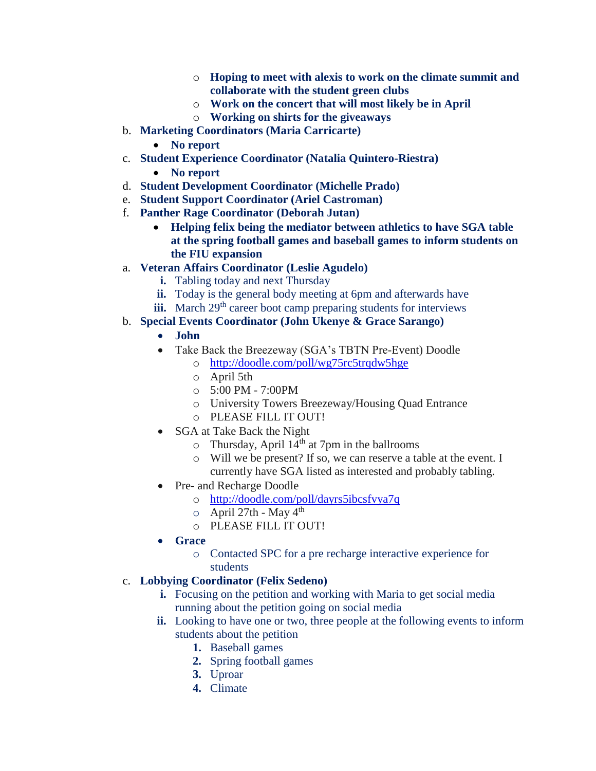- o **Hoping to meet with alexis to work on the climate summit and collaborate with the student green clubs**
- o **Work on the concert that will most likely be in April**
- o **Working on shirts for the giveaways**
- b. **Marketing Coordinators (Maria Carricarte)**
	- **No report**
- c. **Student Experience Coordinator (Natalia Quintero-Riestra)**
	- **No report**
- d. **Student Development Coordinator (Michelle Prado)**
- e. **Student Support Coordinator (Ariel Castroman)**
- f. **Panther Rage Coordinator (Deborah Jutan)**
	- **Helping felix being the mediator between athletics to have SGA table at the spring football games and baseball games to inform students on the FIU expansion**
- a. **Veteran Affairs Coordinator (Leslie Agudelo)**
	- **i.** Tabling today and next Thursday
	- **ii.** Today is the general body meeting at 6pm and afterwards have
	- **iii.** March 29<sup>th</sup> career boot camp preparing students for interviews

### b. **Special Events Coordinator (John Ukenye & Grace Sarango)**

- **John**
- Take Back the Breezeway (SGA's TBTN Pre-Event) Doodle
	- o [http://doodle.com/poll/wg75rc5trqdw5hge](https://urldefense.proofpoint.com/v2/url?u=http-3A__doodle.com_poll_wg75rc5trqdw5hge&d=AwMFaQ&c=1QsCMERiq7JOmEnKpsSyjg&r=dJrEnh005wwYMGohR_iFBw&m=cNxMEkTkPFwybni7u8K--NZliKmI8Z5AHLg7g9PvL-I&s=1fww3ylPbD-pKjd2ObZ7_SBzh27_ghWcYuwOxMyn36A&e=)
	- o April 5th
	- o 5:00 PM 7:00PM
	- o University Towers Breezeway/Housing Quad Entrance
	- o PLEASE FILL IT OUT!
- SGA at Take Back the Night
	- $\circ$  Thursday, April 14<sup>th</sup> at 7pm in the ballrooms
	- o Will we be present? If so, we can reserve a table at the event. I currently have SGA listed as interested and probably tabling.
- Pre- and Recharge Doodle
	- o [http://doodle.com/poll/dayrs5ibcsfvya7q](https://urldefense.proofpoint.com/v2/url?u=http-3A__doodle.com_poll_dayrs5ibcsfvya7q&d=AwMFaQ&c=1QsCMERiq7JOmEnKpsSyjg&r=dJrEnh005wwYMGohR_iFBw&m=cNxMEkTkPFwybni7u8K--NZliKmI8Z5AHLg7g9PvL-I&s=cdWDkt26FXbnpQta6Hqr8OEGIszwoCbGoP0KiJOI9II&e=)
	- $\circ$  April 27th May 4<sup>th</sup>
	- o PLEASE FILL IT OUT!
- **Grace**
	- o Contacted SPC for a pre recharge interactive experience for students

# c. **Lobbying Coordinator (Felix Sedeno)**

- **i.** Focusing on the petition and working with Maria to get social media running about the petition going on social media
- **ii.** Looking to have one or two, three people at the following events to inform students about the petition
	- **1.** Baseball games
	- **2.** Spring football games
	- **3.** Uproar
	- **4.** Climate